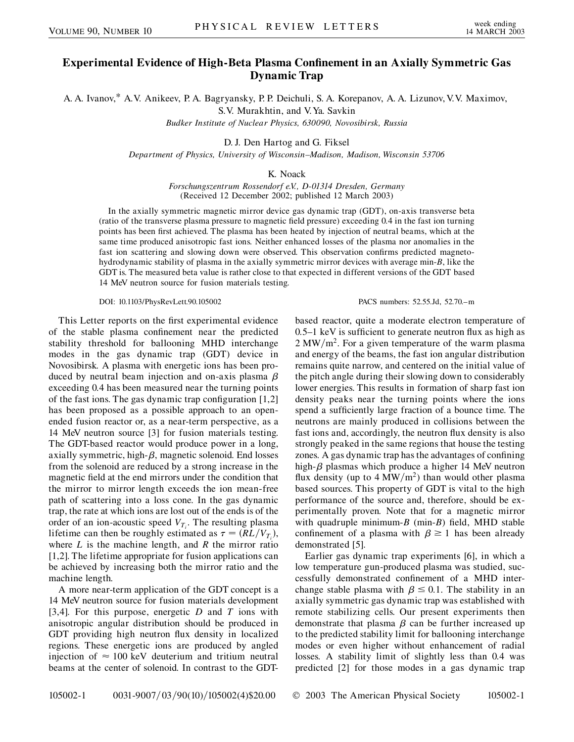## **Experimental Evidence of High-Beta Plasma Confinement in an Axially Symmetric Gas Dynamic Trap**

A. A. Ivanov,\* A.V. Anikeev, P. A. Bagryansky, P. P. Deichuli, S. A. Korepanov, A. A. Lizunov, V.V. Maximov,

S.V. Murakhtin, and V.Ya. Savkin

*Budker Institute of Nuclear Physics, 630090, Novosibirsk, Russia*

D. J. Den Hartog and G. Fiksel

*Department of Physics, University of Wisconsin–Madison, Madison, Wisconsin 53706*

K. Noack

*Forschungszentrum Rossendorf e.V., D-01314 Dresden, Germany* (Received 12 December 2002; published 12 March 2003)

In the axially symmetric magnetic mirror device gas dynamic trap (GDT), on-axis transverse beta (ratio of the transverse plasma pressure to magnetic field pressure) exceeding 0.4 in the fast ion turning points has been first achieved. The plasma has been heated by injection of neutral beams, which at the same time produced anisotropic fast ions. Neither enhanced losses of the plasma nor anomalies in the fast ion scattering and slowing down were observed. This observation confirms predicted magnetohydrodynamic stability of plasma in the axially symmetric mirror devices with average min-*B*, like the GDT is. The measured beta value is rather close to that expected in different versions of the GDT based 14 MeV neutron source for fusion materials testing.

DOI: 10.1103/PhysRevLett.90.105002 PACS numbers: 52.55.Jd, 52.70.–m

This Letter reports on the first experimental evidence of the stable plasma confinement near the predicted stability threshold for ballooning MHD interchange modes in the gas dynamic trap (GDT) device in Novosibirsk. A plasma with energetic ions has been produced by neutral beam injection and on-axis plasma  $\beta$ exceeding 0.4 has been measured near the turning points of the fast ions. The gas dynamic trap configuration [1,2] has been proposed as a possible approach to an openended fusion reactor or, as a near-term perspective, as a 14 MeV neutron source [3] for fusion materials testing. The GDT-based reactor would produce power in a long, axially symmetric, high- $\beta$ , magnetic solenoid. End losses from the solenoid are reduced by a strong increase in the magnetic field at the end mirrors under the condition that the mirror to mirror length exceeds the ion mean-free path of scattering into a loss cone. In the gas dynamic trap, the rate at which ions are lost out of the ends is of the order of an ion-acoustic speed  $V_{T_i}$ . The resulting plasma lifetime can then be roughly estimated as  $\tau = (RL/V_{T_i})$ , where *L* is the machine length, and *R* the mirror ratio [1,2]. The lifetime appropriate for fusion applications can be achieved by increasing both the mirror ratio and the machine length.

A more near-term application of the GDT concept is a 14 MeV neutron source for fusion materials development [3,4]. For this purpose, energetic *D* and *T* ions with anisotropic angular distribution should be produced in GDT providing high neutron flux density in localized regions. These energetic ions are produced by angled injection of  $\approx 100 \text{ keV}$  deuterium and tritium neutral beams at the center of solenoid. In contrast to the GDT-

based reactor, quite a moderate electron temperature of 0*:*5–1 keV is sufficient to generate neutron flux as high as  $2 \text{ MW/m}^2$ . For a given temperature of the warm plasma and energy of the beams, the fast ion angular distribution remains quite narrow, and centered on the initial value of the pitch angle during their slowing down to considerably lower energies. This results in formation of sharp fast ion density peaks near the turning points where the ions spend a sufficiently large fraction of a bounce time. The neutrons are mainly produced in collisions between the fast ions and, accordingly, the neutron flux density is also strongly peaked in the same regions that house the testing zones. A gas dynamic trap has the advantages of confining high- $\beta$  plasmas which produce a higher 14 MeV neutron flux density (up to  $4 \text{ MW/m}^2$ ) than would other plasma based sources. This property of GDT is vital to the high performance of the source and, therefore, should be experimentally proven. Note that for a magnetic mirror with quadruple minimum-*B* (min-*B*) field, MHD stable confinement of a plasma with  $\beta \ge 1$  has been already demonstrated [5].

Earlier gas dynamic trap experiments [6], in which a low temperature gun-produced plasma was studied, successfully demonstrated confinement of a MHD interchange stable plasma with  $\beta \leq 0.1$ . The stability in an axially symmetric gas dynamic trap was established with remote stabilizing cells. Our present experiments then demonstrate that plasma  $\beta$  can be further increased up to the predicted stability limit for ballooning interchange modes or even higher without enhancement of radial losses. A stability limit of slightly less than 0.4 was predicted [2] for those modes in a gas dynamic trap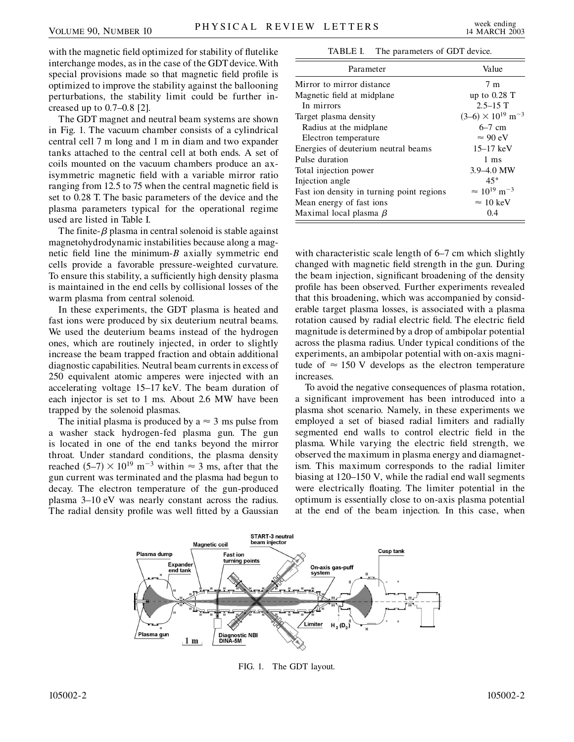with the magnetic field optimized for stability of flutelike interchange modes, as in the case of the GDT device.With special provisions made so that magnetic field profile is optimized to improve the stability against the ballooning perturbations, the stability limit could be further increased up to 0*:*7–0*:*8 [2].

The GDT magnet and neutral beam systems are shown in Fig. 1. The vacuum chamber consists of a cylindrical central cell 7 m long and 1 m in diam and two expander tanks attached to the central cell at both ends. A set of coils mounted on the vacuum chambers produce an axisymmetric magnetic field with a variable mirror ratio ranging from 12.5 to 75 when the central magnetic field is set to 0.28 T. The basic parameters of the device and the plasma parameters typical for the operational regime used are listed in Table I.

The finite- $\beta$  plasma in central solenoid is stable against magnetohydrodynamic instabilities because along a magnetic field line the minimum-*B* axially symmetric end cells provide a favorable pressure-weighted curvature. To ensure this stability, a sufficiently high density plasma is maintained in the end cells by collisional losses of the warm plasma from central solenoid.

In these experiments, the GDT plasma is heated and fast ions were produced by six deuterium neutral beams. We used the deuterium beams instead of the hydrogen ones, which are routinely injected, in order to slightly increase the beam trapped fraction and obtain additional diagnostic capabilities. Neutral beam currents in excess of 250 equivalent atomic amperes were injected with an accelerating voltage 15–17 keV. The beam duration of each injector is set to 1 ms. About 2.6 MW have been trapped by the solenoid plasmas.

The initial plasma is produced by a  $\approx$  3 ms pulse from a washer stack hydrogen-fed plasma gun. The gun is located in one of the end tanks beyond the mirror throat. Under standard conditions, the plasma density reached  $(5-7) \times 10^{19}$  m<sup>-3</sup> within  $\approx$  3 ms, after that the gun current was terminated and the plasma had begun to decay. The electron temperature of the gun-produced plasma 3–10 eV was nearly constant across the radius. The radial density profile was well fitted by a Gaussian

TABLE I. The parameters of GDT device.

| Parameter                                 | Value                                  |
|-------------------------------------------|----------------------------------------|
| Mirror to mirror distance                 | 7 <sub>m</sub>                         |
| Magnetic field at midplane.               | up to $0.28$ T                         |
| In mirrors                                | $2.5 - 15$ T                           |
| Target plasma density                     | $(3-6) \times 10^{19}$ m <sup>-3</sup> |
| Radius at the midplane                    | $6-7$ cm                               |
| Electron temperature                      | $\approx 90 \text{ eV}$                |
| Energies of deuterium neutral beams       | $15 - 17$ keV                          |
| Pulse duration                            | 1 ms                                   |
| Total injection power                     | $3.9 - 4.0$ MW                         |
| Injection angle                           | $45^{\circ}$                           |
| Fast ion density in turning point regions | $\approx 10^{19}$ m <sup>-3</sup>      |
| Mean energy of fast ions                  | $\approx 10 \text{ keV}$               |
| Maximal local plasma $\beta$              | 0.4                                    |

with characteristic scale length of 6–7 cm which slightly changed with magnetic field strength in the gun. During the beam injection, significant broadening of the density profile has been observed. Further experiments revealed that this broadening, which was accompanied by considerable target plasma losses, is associated with a plasma rotation caused by radial electric field. The electric field magnitude is determined by a drop of ambipolar potential across the plasma radius. Under typical conditions of the experiments, an ambipolar potential with on-axis magnitude of  $\approx 150$  V develops as the electron temperature increases.

To avoid the negative consequences of plasma rotation, a significant improvement has been introduced into a plasma shot scenario. Namely, in these experiments we employed a set of biased radial limiters and radially segmented end walls to control electric field in the plasma. While varying the electric field strength, we observed the maximum in plasma energy and diamagnetism. This maximum corresponds to the radial limiter biasing at 120–150 V, while the radial end wall segments were electrically floating. The limiter potential in the optimum is essentially close to on-axis plasma potential at the end of the beam injection. In this case, when



FIG. 1. The GDT layout.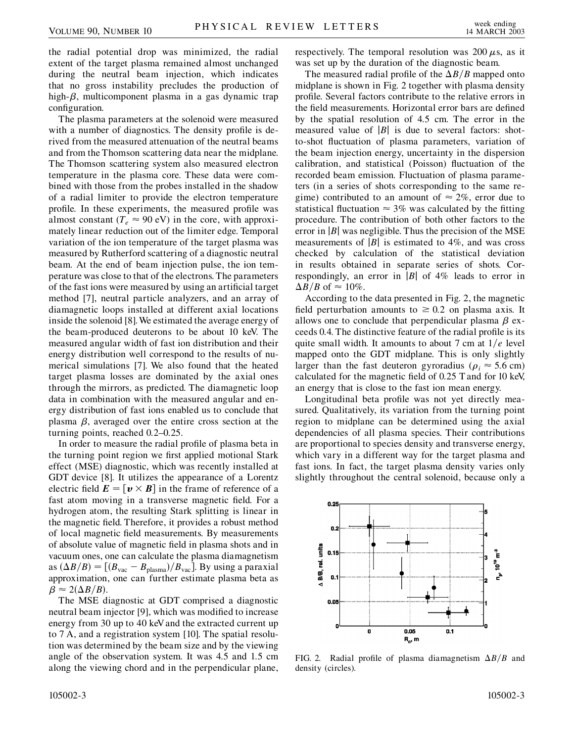the radial potential drop was minimized, the radial extent of the target plasma remained almost unchanged during the neutral beam injection, which indicates that no gross instability precludes the production of high- $\beta$ , multicomponent plasma in a gas dynamic trap configuration.

The plasma parameters at the solenoid were measured with a number of diagnostics. The density profile is derived from the measured attenuation of the neutral beams and from the Thomson scattering data near the midplane. The Thomson scattering system also measured electron temperature in the plasma core. These data were combined with those from the probes installed in the shadow of a radial limiter to provide the electron temperature profile. In these experiments, the measured profile was almost constant ( $T_e \approx 90 \text{ eV}$ ) in the core, with approximately linear reduction out of the limiter edge. Temporal variation of the ion temperature of the target plasma was measured by Rutherford scattering of a diagnostic neutral beam. At the end of beam injection pulse, the ion temperature was close to that of the electrons. The parameters of the fast ions were measured by using an artificial target method [7], neutral particle analyzers, and an array of diamagnetic loops installed at different axial locations inside the solenoid [8].We estimated the average energy of the beam-produced deuterons to be about 10 keV. The measured angular width of fast ion distribution and their energy distribution well correspond to the results of numerical simulations [7]. We also found that the heated target plasma losses are dominated by the axial ones through the mirrors, as predicted. The diamagnetic loop data in combination with the measured angular and energy distribution of fast ions enabled us to conclude that plasma  $\beta$ , averaged over the entire cross section at the turning points, reached 0*:*2–0*:*25.

In order to measure the radial profile of plasma beta in the turning point region we first applied motional Stark effect (MSE) diagnostic, which was recently installed at GDT device [8]. It utilizes the appearance of a Lorentz electric field  $\mathbf{E} = [\mathbf{v} \times \mathbf{B}]$  in the frame of reference of a fast atom moving in a transverse magnetic field. For a hydrogen atom, the resulting Stark splitting is linear in the magnetic field. Therefore, it provides a robust method of local magnetic field measurements. By measurements of absolute value of magnetic field in plasma shots and in vacuum ones, one can calculate the plasma diamagnetism as  $(\Delta B/B) = [(B_{\text{vac}} - B_{\text{plasma}})/B_{\text{vac}}]$ . By using a paraxial approximation, one can further estimate plasma beta as  $\beta \approx 2(\Delta B/B).$ 

The MSE diagnostic at GDT comprised a diagnostic neutral beam injector [9], which was modified to increase energy from 30 up to 40 keVand the extracted current up to 7 A, and a registration system [10]. The spatial resolution was determined by the beam size and by the viewing angle of the observation system. It was 4.5 and 1.5 cm along the viewing chord and in the perpendicular plane, respectively. The temporal resolution was  $200 \mu s$ , as it was set up by the duration of the diagnostic beam.

The measured radial profile of the  $\Delta B/B$  mapped onto midplane is shown in Fig. 2 together with plasma density profile. Several factors contribute to the relative errors in the field measurements. Horizontal error bars are defined by the spatial resolution of 4.5 cm. The error in the measured value of  $|B|$  is due to several factors: shotto-shot fluctuation of plasma parameters, variation of the beam injection energy, uncertainty in the dispersion calibration, and statistical (Poisson) fluctuation of the recorded beam emission. Fluctuation of plasma parameters (in a series of shots corresponding to the same regime) contributed to an amount of  $\approx 2\%$ , error due to statistical fluctuation  $\approx 3\%$  was calculated by the fitting procedure. The contribution of both other factors to the error in  $|B|$  was negligible. Thus the precision of the MSE measurements of  $|B|$  is estimated to 4%, and was cross checked by calculation of the statistical deviation in results obtained in separate series of shots. Correspondingly, an error in  $|B|$  of 4% leads to error in  $\Delta B/B$  of  $\approx 10\%$ .

According to the data presented in Fig. 2, the magnetic field perturbation amounts to  $\geq 0.2$  on plasma axis. It allows one to conclude that perpendicular plasma  $\beta$  exceeds 0.4. The distinctive feature of the radial profile is its quite small width. It amounts to about 7 cm at  $1/e$  level mapped onto the GDT midplane. This is only slightly larger than the fast deuteron gyroradius ( $\rho_i \approx 5.6$  cm) calculated for the magnetic field of 0.25 T and for 10 keV, an energy that is close to the fast ion mean energy.

Longitudinal beta profile was not yet directly measured. Qualitatively, its variation from the turning point region to midplane can be determined using the axial dependencies of all plasma species. Their contributions are proportional to species density and transverse energy, which vary in a different way for the target plasma and fast ions. In fact, the target plasma density varies only slightly throughout the central solenoid, because only a



FIG. 2. Radial profile of plasma diamagnetism  $\Delta B/B$  and density (circles).